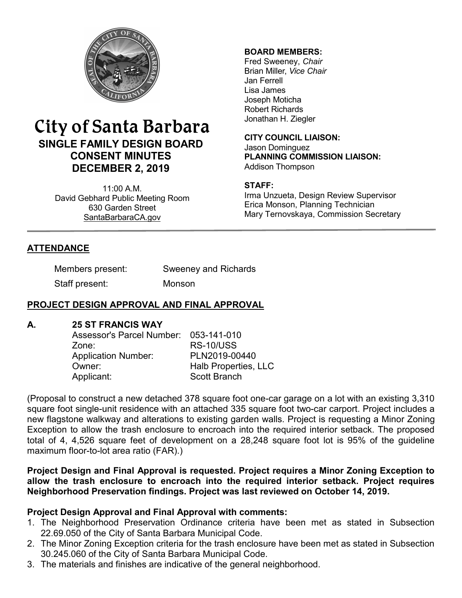

# City of Santa Barbara **SINGLE FAMILY DESIGN BOARD CONSENT MINUTES DECEMBER 2, 2019**

11:00 A.M. David Gebhard Public Meeting Room 630 Garden Street [SantaBarbaraCA.gov](http://www.santabarbaraca.gov/)

### **BOARD MEMBERS:**

Fred Sweeney, *Chair* Brian Miller, *Vice Chair* Jan Ferrell Lisa James Joseph Moticha Robert Richards Jonathan H. Ziegler

**CITY COUNCIL LIAISON:** Jason Dominguez **PLANNING COMMISSION LIAISON:** Addison Thompson

#### **STAFF:**

Irma Unzueta, Design Review Supervisor Erica Monson, Planning Technician Mary Ternovskaya, Commission Secretary

# **ATTENDANCE**

Members present: Sweeney and Richards

Staff present: Monson

# **PROJECT DESIGN APPROVAL AND FINAL APPROVAL**

#### **A. 25 ST FRANCIS WAY**

Assessor's Parcel Number: 053-141-010 Zone: RS-10/USS Application Number: PLN2019-00440 Owner: **Halb Properties, LLC** Applicant: Scott Branch

(Proposal to construct a new detached 378 square foot one-car garage on a lot with an existing 3,310 square foot single-unit residence with an attached 335 square foot two-car carport. Project includes a new flagstone walkway and alterations to existing garden walls. Project is requesting a Minor Zoning Exception to allow the trash enclosure to encroach into the required interior setback. The proposed total of 4, 4,526 square feet of development on a 28,248 square foot lot is 95% of the guideline maximum floor-to-lot area ratio (FAR).)

## **Project Design and Final Approval is requested. Project requires a Minor Zoning Exception to allow the trash enclosure to encroach into the required interior setback. Project requires Neighborhood Preservation findings. Project was last reviewed on October 14, 2019.**

## **Project Design Approval and Final Approval with comments:**

- 1. The Neighborhood Preservation Ordinance criteria have been met as stated in Subsection 22.69.050 of the City of Santa Barbara Municipal Code.
- 2. The Minor Zoning Exception criteria for the trash enclosure have been met as stated in Subsection 30.245.060 of the City of Santa Barbara Municipal Code.
- 3. The materials and finishes are indicative of the general neighborhood.